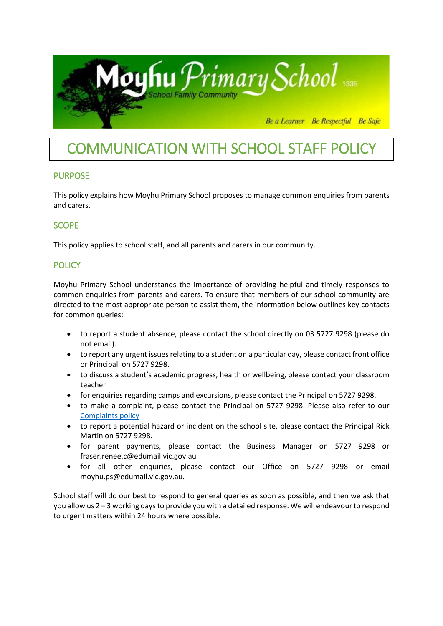

# COMMUNICATION WITH SCHOOL STAFF POLICY

### PURPOSE

This policy explains how Moyhu Primary School proposes to manage common enquiries from parents and carers.

## SCOPE

This policy applies to school staff, and all parents and carers in our community.

## **POLICY**

Moyhu Primary School understands the importance of providing helpful and timely responses to common enquiries from parents and carers. To ensure that members of our school community are directed to the most appropriate person to assist them, the information below outlines key contacts for common queries:

- to report a student absence, please contact the school directly on 03 5727 9298 (please do not email).
- to report any urgent issues relating to a student on a particular day, please contact front office or Principal on 5727 9298.
- to discuss a student's academic progress, health or wellbeing, please contact your classroom teacher
- for enquiries regarding camps and excursions, please contact the Principal on 5727 9298.
- to make a complaint, please contact the Principal on 5727 9298. Please also refer to our [Complaints policy](http://moyhups.vic.edu.au/school-policies/)
- to report a potential hazard or incident on the school site, please contact the Principal Rick Martin on 5727 9298.
- for parent payments, please contact the Business Manager on 5727 9298 or fraser.renee.c@edumail.vic.gov.au
- for all other enquiries, please contact our Office on 5727 9298 or email moyhu.ps@edumail.vic.gov.au.

School staff will do our best to respond to general queries as soon as possible, and then we ask that you allow us 2 – 3 working days to provide you with a detailed response. We will endeavour to respond to urgent matters within 24 hours where possible.